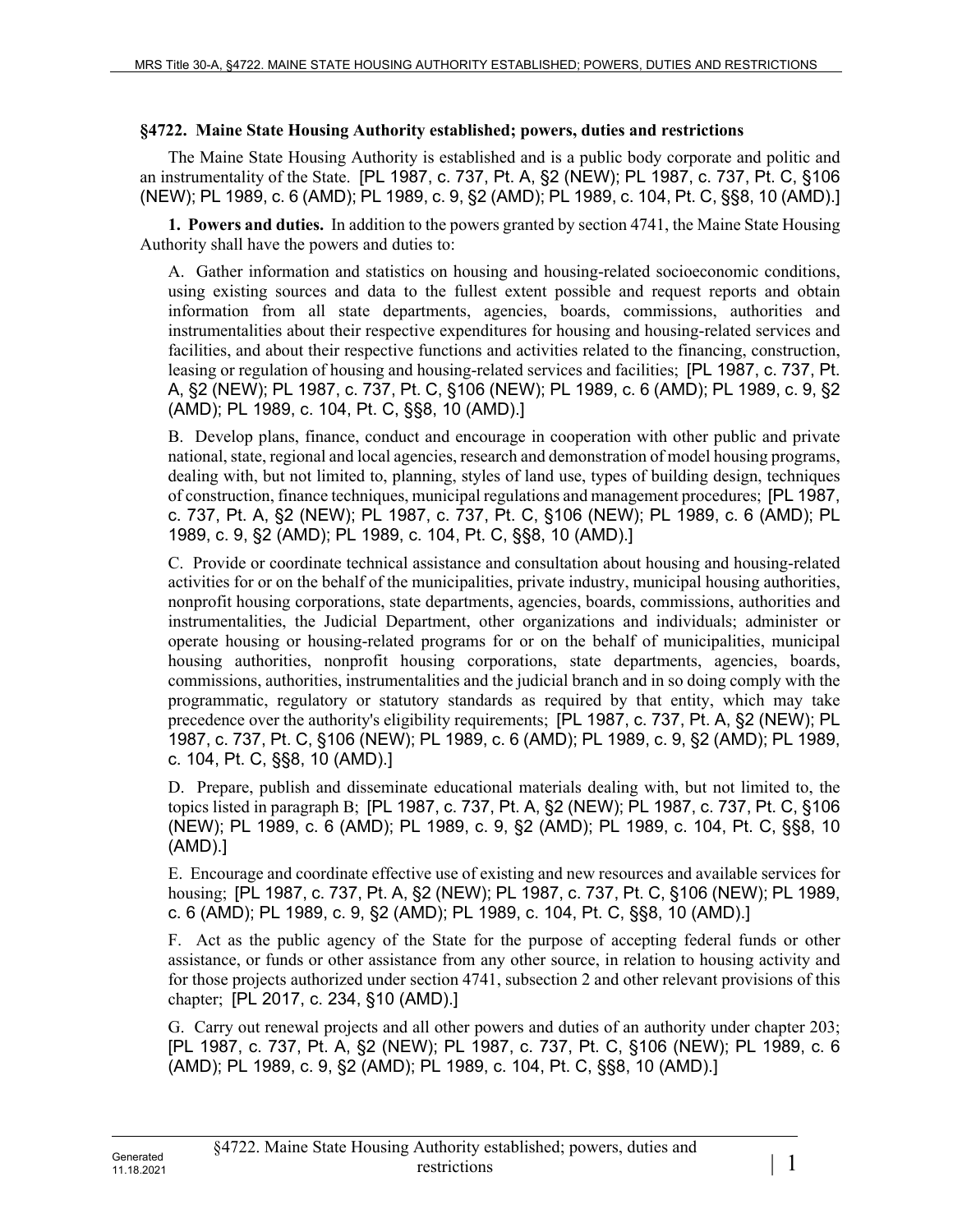## **§4722. Maine State Housing Authority established; powers, duties and restrictions**

The Maine State Housing Authority is established and is a public body corporate and politic and an instrumentality of the State. [PL 1987, c. 737, Pt. A, §2 (NEW); PL 1987, c. 737, Pt. C, §106 (NEW); PL 1989, c. 6 (AMD); PL 1989, c. 9, §2 (AMD); PL 1989, c. 104, Pt. C, §§8, 10 (AMD).]

**1. Powers and duties.** In addition to the powers granted by section 4741, the Maine State Housing Authority shall have the powers and duties to:

A. Gather information and statistics on housing and housing-related socioeconomic conditions, using existing sources and data to the fullest extent possible and request reports and obtain information from all state departments, agencies, boards, commissions, authorities and instrumentalities about their respective expenditures for housing and housing-related services and facilities, and about their respective functions and activities related to the financing, construction, leasing or regulation of housing and housing-related services and facilities; [PL 1987, c. 737, Pt. A, §2 (NEW); PL 1987, c. 737, Pt. C, §106 (NEW); PL 1989, c. 6 (AMD); PL 1989, c. 9, §2 (AMD); PL 1989, c. 104, Pt. C, §§8, 10 (AMD).]

B. Develop plans, finance, conduct and encourage in cooperation with other public and private national, state, regional and local agencies, research and demonstration of model housing programs, dealing with, but not limited to, planning, styles of land use, types of building design, techniques of construction, finance techniques, municipal regulations and management procedures; [PL 1987, c. 737, Pt. A, §2 (NEW); PL 1987, c. 737, Pt. C, §106 (NEW); PL 1989, c. 6 (AMD); PL 1989, c. 9, §2 (AMD); PL 1989, c. 104, Pt. C, §§8, 10 (AMD).]

C. Provide or coordinate technical assistance and consultation about housing and housing-related activities for or on the behalf of the municipalities, private industry, municipal housing authorities, nonprofit housing corporations, state departments, agencies, boards, commissions, authorities and instrumentalities, the Judicial Department, other organizations and individuals; administer or operate housing or housing-related programs for or on the behalf of municipalities, municipal housing authorities, nonprofit housing corporations, state departments, agencies, boards, commissions, authorities, instrumentalities and the judicial branch and in so doing comply with the programmatic, regulatory or statutory standards as required by that entity, which may take precedence over the authority's eligibility requirements; [PL 1987, c. 737, Pt. A, §2 (NEW); PL 1987, c. 737, Pt. C, §106 (NEW); PL 1989, c. 6 (AMD); PL 1989, c. 9, §2 (AMD); PL 1989, c. 104, Pt. C, §§8, 10 (AMD).]

D. Prepare, publish and disseminate educational materials dealing with, but not limited to, the topics listed in paragraph B; [PL 1987, c. 737, Pt. A, §2 (NEW); PL 1987, c. 737, Pt. C, §106 (NEW); PL 1989, c. 6 (AMD); PL 1989, c. 9, §2 (AMD); PL 1989, c. 104, Pt. C, §§8, 10 (AMD).]

E. Encourage and coordinate effective use of existing and new resources and available services for housing; [PL 1987, c. 737, Pt. A, §2 (NEW); PL 1987, c. 737, Pt. C, §106 (NEW); PL 1989, c. 6 (AMD); PL 1989, c. 9, §2 (AMD); PL 1989, c. 104, Pt. C, §§8, 10 (AMD).]

F. Act as the public agency of the State for the purpose of accepting federal funds or other assistance, or funds or other assistance from any other source, in relation to housing activity and for those projects authorized under section 4741, subsection 2 and other relevant provisions of this chapter; [PL 2017, c. 234, §10 (AMD).]

G. Carry out renewal projects and all other powers and duties of an authority under chapter 203; [PL 1987, c. 737, Pt. A, §2 (NEW); PL 1987, c. 737, Pt. C, §106 (NEW); PL 1989, c. 6 (AMD); PL 1989, c. 9, §2 (AMD); PL 1989, c. 104, Pt. C, §§8, 10 (AMD).]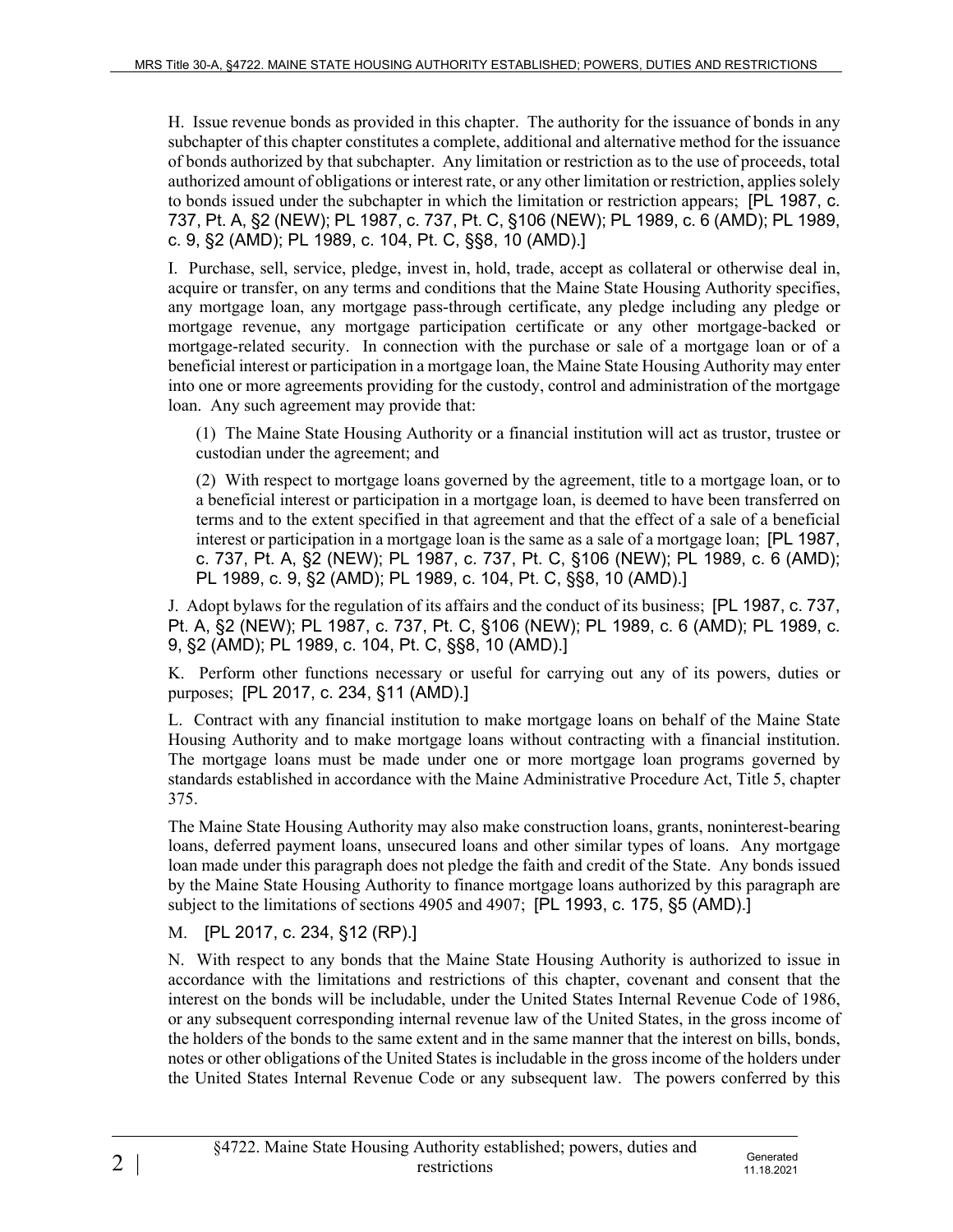H. Issue revenue bonds as provided in this chapter. The authority for the issuance of bonds in any subchapter of this chapter constitutes a complete, additional and alternative method for the issuance of bonds authorized by that subchapter. Any limitation or restriction as to the use of proceeds, total authorized amount of obligations or interest rate, or any other limitation or restriction, applies solely to bonds issued under the subchapter in which the limitation or restriction appears; [PL 1987, c. 737, Pt. A, §2 (NEW); PL 1987, c. 737, Pt. C, §106 (NEW); PL 1989, c. 6 (AMD); PL 1989, c. 9, §2 (AMD); PL 1989, c. 104, Pt. C, §§8, 10 (AMD).]

I. Purchase, sell, service, pledge, invest in, hold, trade, accept as collateral or otherwise deal in, acquire or transfer, on any terms and conditions that the Maine State Housing Authority specifies, any mortgage loan, any mortgage pass-through certificate, any pledge including any pledge or mortgage revenue, any mortgage participation certificate or any other mortgage-backed or mortgage-related security. In connection with the purchase or sale of a mortgage loan or of a beneficial interest or participation in a mortgage loan, the Maine State Housing Authority may enter into one or more agreements providing for the custody, control and administration of the mortgage loan. Any such agreement may provide that:

(1) The Maine State Housing Authority or a financial institution will act as trustor, trustee or custodian under the agreement; and

(2) With respect to mortgage loans governed by the agreement, title to a mortgage loan, or to a beneficial interest or participation in a mortgage loan, is deemed to have been transferred on terms and to the extent specified in that agreement and that the effect of a sale of a beneficial interest or participation in a mortgage loan is the same as a sale of a mortgage loan; [PL 1987, c. 737, Pt. A, §2 (NEW); PL 1987, c. 737, Pt. C, §106 (NEW); PL 1989, c. 6 (AMD); PL 1989, c. 9, §2 (AMD); PL 1989, c. 104, Pt. C, §§8, 10 (AMD).]

J. Adopt bylaws for the regulation of its affairs and the conduct of its business; [PL 1987, c. 737, Pt. A, §2 (NEW); PL 1987, c. 737, Pt. C, §106 (NEW); PL 1989, c. 6 (AMD); PL 1989, c. 9, §2 (AMD); PL 1989, c. 104, Pt. C, §§8, 10 (AMD).]

K. Perform other functions necessary or useful for carrying out any of its powers, duties or purposes; [PL 2017, c. 234, §11 (AMD).]

L. Contract with any financial institution to make mortgage loans on behalf of the Maine State Housing Authority and to make mortgage loans without contracting with a financial institution. The mortgage loans must be made under one or more mortgage loan programs governed by standards established in accordance with the Maine Administrative Procedure Act, Title 5, chapter 375.

The Maine State Housing Authority may also make construction loans, grants, noninterest-bearing loans, deferred payment loans, unsecured loans and other similar types of loans. Any mortgage loan made under this paragraph does not pledge the faith and credit of the State. Any bonds issued by the Maine State Housing Authority to finance mortgage loans authorized by this paragraph are subject to the limitations of sections 4905 and 4907; [PL 1993, c. 175, §5 (AMD).]

## M. [PL 2017, c. 234, §12 (RP).]

N. With respect to any bonds that the Maine State Housing Authority is authorized to issue in accordance with the limitations and restrictions of this chapter, covenant and consent that the interest on the bonds will be includable, under the United States Internal Revenue Code of 1986, or any subsequent corresponding internal revenue law of the United States, in the gross income of the holders of the bonds to the same extent and in the same manner that the interest on bills, bonds, notes or other obligations of the United States is includable in the gross income of the holders under the United States Internal Revenue Code or any subsequent law. The powers conferred by this

11.18.2021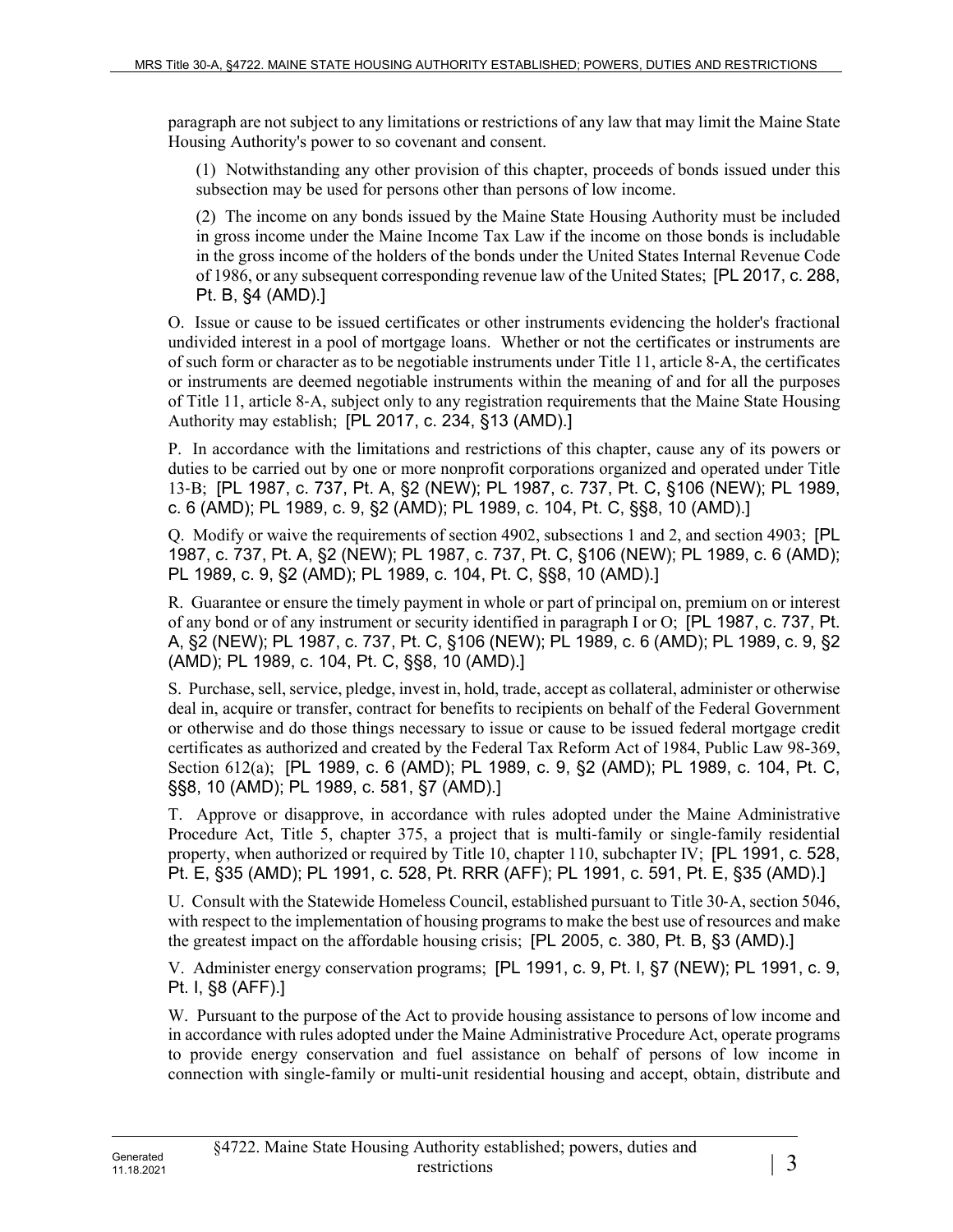paragraph are not subject to any limitations or restrictions of any law that may limit the Maine State Housing Authority's power to so covenant and consent.

(1) Notwithstanding any other provision of this chapter, proceeds of bonds issued under this subsection may be used for persons other than persons of low income.

(2) The income on any bonds issued by the Maine State Housing Authority must be included in gross income under the Maine Income Tax Law if the income on those bonds is includable in the gross income of the holders of the bonds under the United States Internal Revenue Code of 1986, or any subsequent corresponding revenue law of the United States; [PL 2017, c. 288, Pt. B, §4 (AMD).]

O. Issue or cause to be issued certificates or other instruments evidencing the holder's fractional undivided interest in a pool of mortgage loans. Whether or not the certificates or instruments are of such form or character as to be negotiable instruments under Title 11, article 8‑A, the certificates or instruments are deemed negotiable instruments within the meaning of and for all the purposes of Title 11, article 8‑A, subject only to any registration requirements that the Maine State Housing Authority may establish; [PL 2017, c. 234, §13 (AMD).]

P. In accordance with the limitations and restrictions of this chapter, cause any of its powers or duties to be carried out by one or more nonprofit corporations organized and operated under Title 13‑B; [PL 1987, c. 737, Pt. A, §2 (NEW); PL 1987, c. 737, Pt. C, §106 (NEW); PL 1989, c. 6 (AMD); PL 1989, c. 9, §2 (AMD); PL 1989, c. 104, Pt. C, §§8, 10 (AMD).]

Q. Modify or waive the requirements of section 4902, subsections 1 and 2, and section 4903; [PL 1987, c. 737, Pt. A, §2 (NEW); PL 1987, c. 737, Pt. C, §106 (NEW); PL 1989, c. 6 (AMD); PL 1989, c. 9, §2 (AMD); PL 1989, c. 104, Pt. C, §§8, 10 (AMD).]

R. Guarantee or ensure the timely payment in whole or part of principal on, premium on or interest of any bond or of any instrument or security identified in paragraph I or O; [PL 1987, c. 737, Pt. A, §2 (NEW); PL 1987, c. 737, Pt. C, §106 (NEW); PL 1989, c. 6 (AMD); PL 1989, c. 9, §2 (AMD); PL 1989, c. 104, Pt. C, §§8, 10 (AMD).]

S. Purchase, sell, service, pledge, invest in, hold, trade, accept as collateral, administer or otherwise deal in, acquire or transfer, contract for benefits to recipients on behalf of the Federal Government or otherwise and do those things necessary to issue or cause to be issued federal mortgage credit certificates as authorized and created by the Federal Tax Reform Act of 1984, Public Law 98-369, Section 612(a); [PL 1989, c. 6 (AMD); PL 1989, c. 9, §2 (AMD); PL 1989, c. 104, Pt. C, §§8, 10 (AMD); PL 1989, c. 581, §7 (AMD).]

T. Approve or disapprove, in accordance with rules adopted under the Maine Administrative Procedure Act, Title 5, chapter 375, a project that is multi-family or single-family residential property, when authorized or required by Title 10, chapter 110, subchapter IV; [PL 1991, c. 528, Pt. E, §35 (AMD); PL 1991, c. 528, Pt. RRR (AFF); PL 1991, c. 591, Pt. E, §35 (AMD).]

U. Consult with the Statewide Homeless Council, established pursuant to Title 30‑A, section 5046, with respect to the implementation of housing programs to make the best use of resources and make the greatest impact on the affordable housing crisis; [PL 2005, c. 380, Pt. B, §3 (AMD).]

V. Administer energy conservation programs; [PL 1991, c. 9, Pt. I, §7 (NEW); PL 1991, c. 9, Pt. I, §8 (AFF).]

W. Pursuant to the purpose of the Act to provide housing assistance to persons of low income and in accordance with rules adopted under the Maine Administrative Procedure Act, operate programs to provide energy conservation and fuel assistance on behalf of persons of low income in connection with single-family or multi-unit residential housing and accept, obtain, distribute and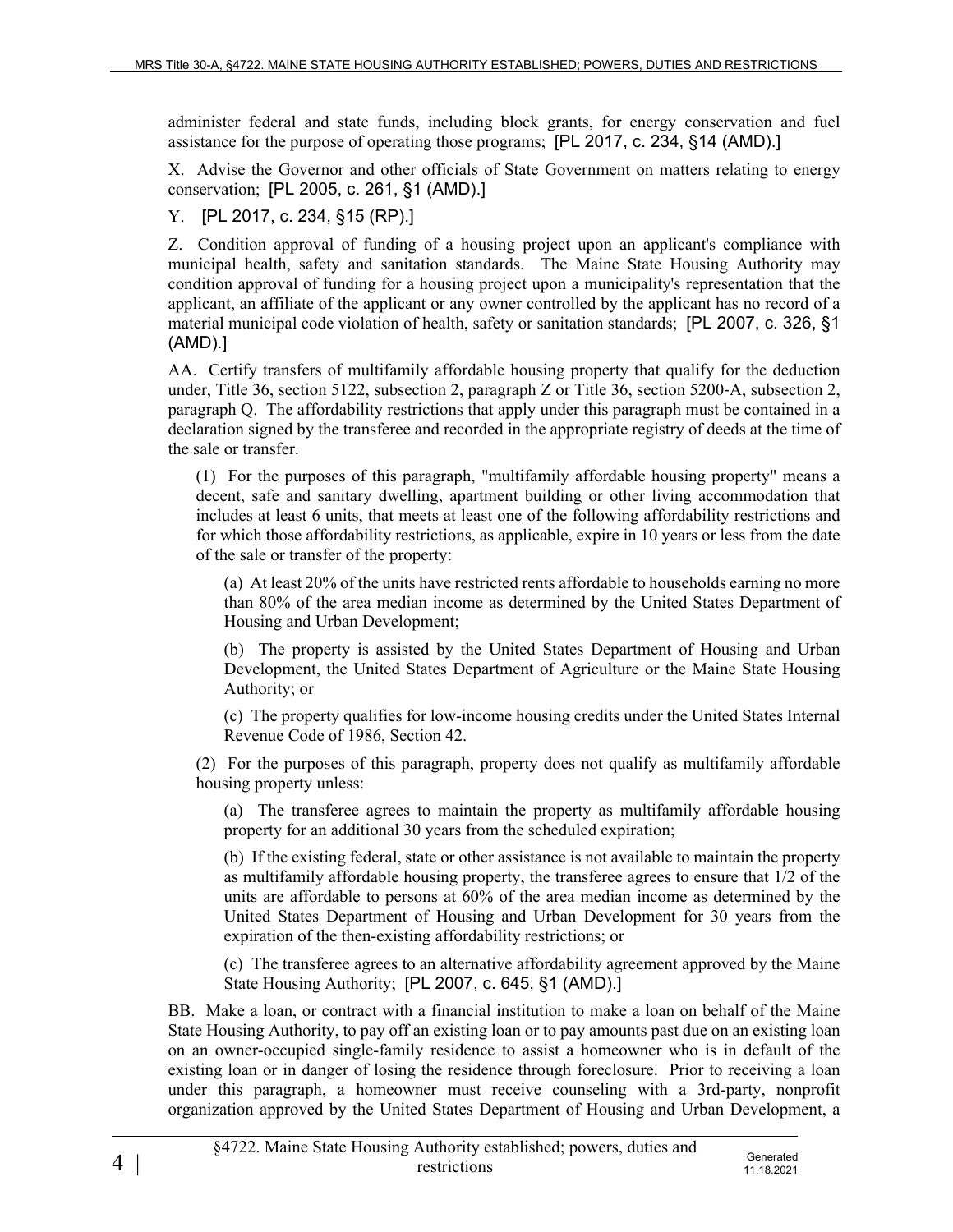administer federal and state funds, including block grants, for energy conservation and fuel assistance for the purpose of operating those programs; [PL 2017, c. 234, §14 (AMD).]

X. Advise the Governor and other officials of State Government on matters relating to energy conservation; [PL 2005, c. 261, §1 (AMD).]

Y. [PL 2017, c. 234, §15 (RP).]

Z. Condition approval of funding of a housing project upon an applicant's compliance with municipal health, safety and sanitation standards. The Maine State Housing Authority may condition approval of funding for a housing project upon a municipality's representation that the applicant, an affiliate of the applicant or any owner controlled by the applicant has no record of a material municipal code violation of health, safety or sanitation standards; [PL 2007, c. 326, §1 (AMD).]

AA. Certify transfers of multifamily affordable housing property that qualify for the deduction under, Title 36, section 5122, subsection 2, paragraph Z or Title 36, section 5200‑A, subsection 2, paragraph Q. The affordability restrictions that apply under this paragraph must be contained in a declaration signed by the transferee and recorded in the appropriate registry of deeds at the time of the sale or transfer.

(1) For the purposes of this paragraph, "multifamily affordable housing property" means a decent, safe and sanitary dwelling, apartment building or other living accommodation that includes at least 6 units, that meets at least one of the following affordability restrictions and for which those affordability restrictions, as applicable, expire in 10 years or less from the date of the sale or transfer of the property:

(a) At least 20% of the units have restricted rents affordable to households earning no more than 80% of the area median income as determined by the United States Department of Housing and Urban Development;

(b) The property is assisted by the United States Department of Housing and Urban Development, the United States Department of Agriculture or the Maine State Housing Authority; or

(c) The property qualifies for low-income housing credits under the United States Internal Revenue Code of 1986, Section 42.

(2) For the purposes of this paragraph, property does not qualify as multifamily affordable housing property unless:

(a) The transferee agrees to maintain the property as multifamily affordable housing property for an additional 30 years from the scheduled expiration;

(b) If the existing federal, state or other assistance is not available to maintain the property as multifamily affordable housing property, the transferee agrees to ensure that 1/2 of the units are affordable to persons at 60% of the area median income as determined by the United States Department of Housing and Urban Development for 30 years from the expiration of the then-existing affordability restrictions; or

(c) The transferee agrees to an alternative affordability agreement approved by the Maine State Housing Authority; [PL 2007, c. 645, §1 (AMD).]

11.18.2021

BB. Make a loan, or contract with a financial institution to make a loan on behalf of the Maine State Housing Authority, to pay off an existing loan or to pay amounts past due on an existing loan on an owner-occupied single-family residence to assist a homeowner who is in default of the existing loan or in danger of losing the residence through foreclosure. Prior to receiving a loan under this paragraph, a homeowner must receive counseling with a 3rd-party, nonprofit organization approved by the United States Department of Housing and Urban Development, a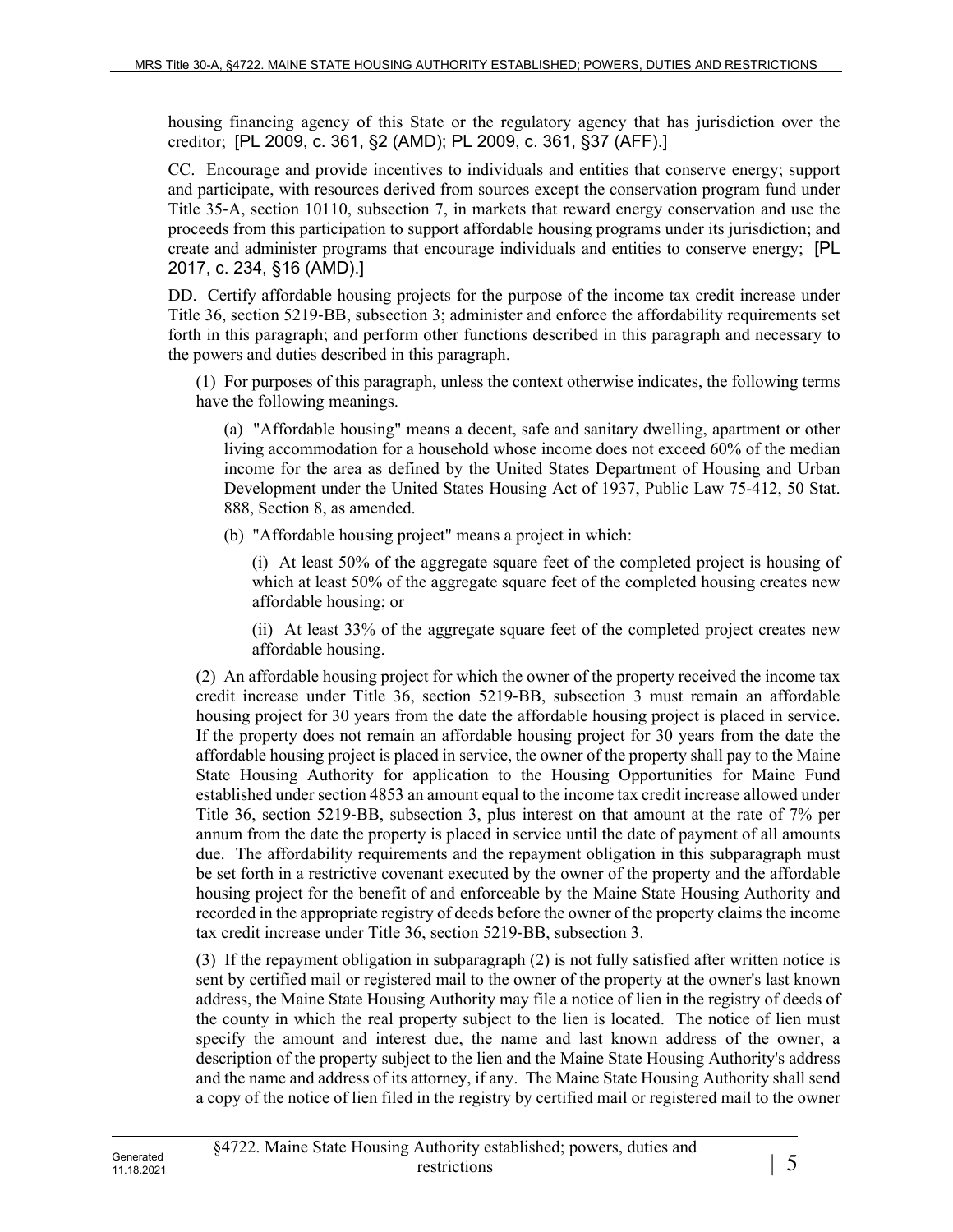housing financing agency of this State or the regulatory agency that has jurisdiction over the creditor; [PL 2009, c. 361, §2 (AMD); PL 2009, c. 361, §37 (AFF).]

CC. Encourage and provide incentives to individuals and entities that conserve energy; support and participate, with resources derived from sources except the conservation program fund under Title 35‑A, section 10110, subsection 7, in markets that reward energy conservation and use the proceeds from this participation to support affordable housing programs under its jurisdiction; and create and administer programs that encourage individuals and entities to conserve energy; [PL 2017, c. 234, §16 (AMD).]

DD. Certify affordable housing projects for the purpose of the income tax credit increase under Title 36, section 5219‑BB, subsection 3; administer and enforce the affordability requirements set forth in this paragraph; and perform other functions described in this paragraph and necessary to the powers and duties described in this paragraph.

(1) For purposes of this paragraph, unless the context otherwise indicates, the following terms have the following meanings.

(a) "Affordable housing" means a decent, safe and sanitary dwelling, apartment or other living accommodation for a household whose income does not exceed 60% of the median income for the area as defined by the United States Department of Housing and Urban Development under the United States Housing Act of 1937, Public Law 75-412, 50 Stat. 888, Section 8, as amended.

(b) "Affordable housing project" means a project in which:

(i) At least 50% of the aggregate square feet of the completed project is housing of which at least 50% of the aggregate square feet of the completed housing creates new affordable housing; or

(ii) At least 33% of the aggregate square feet of the completed project creates new affordable housing.

(2) An affordable housing project for which the owner of the property received the income tax credit increase under Title 36, section 5219‑BB, subsection 3 must remain an affordable housing project for 30 years from the date the affordable housing project is placed in service. If the property does not remain an affordable housing project for 30 years from the date the affordable housing project is placed in service, the owner of the property shall pay to the Maine State Housing Authority for application to the Housing Opportunities for Maine Fund established under section 4853 an amount equal to the income tax credit increase allowed under Title 36, section 5219‑BB, subsection 3, plus interest on that amount at the rate of 7% per annum from the date the property is placed in service until the date of payment of all amounts due. The affordability requirements and the repayment obligation in this subparagraph must be set forth in a restrictive covenant executed by the owner of the property and the affordable housing project for the benefit of and enforceable by the Maine State Housing Authority and recorded in the appropriate registry of deeds before the owner of the property claims the income tax credit increase under Title 36, section 5219‑BB, subsection 3.

(3) If the repayment obligation in subparagraph (2) is not fully satisfied after written notice is sent by certified mail or registered mail to the owner of the property at the owner's last known address, the Maine State Housing Authority may file a notice of lien in the registry of deeds of the county in which the real property subject to the lien is located. The notice of lien must specify the amount and interest due, the name and last known address of the owner, a description of the property subject to the lien and the Maine State Housing Authority's address and the name and address of its attorney, if any. The Maine State Housing Authority shall send a copy of the notice of lien filed in the registry by certified mail or registered mail to the owner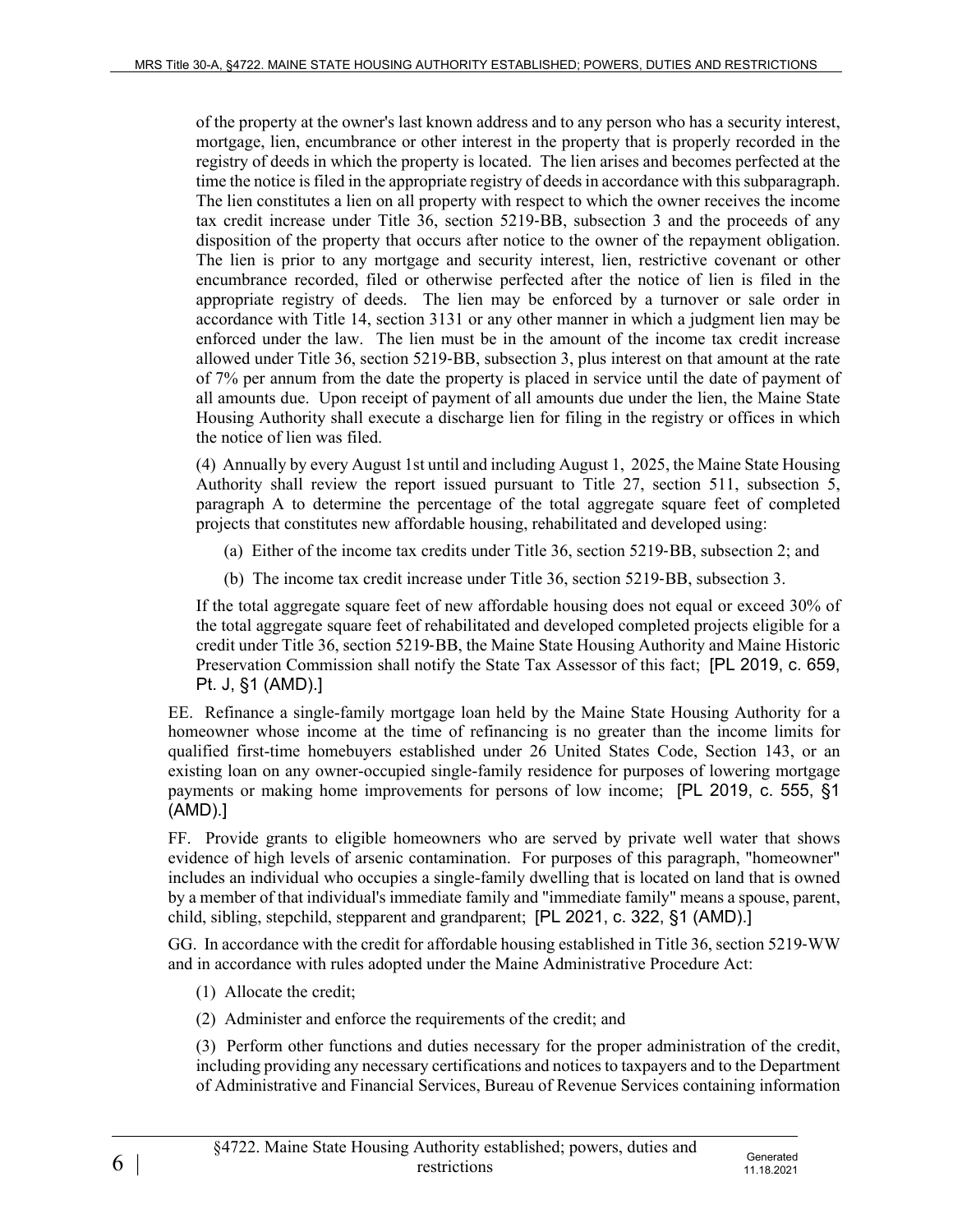of the property at the owner's last known address and to any person who has a security interest, mortgage, lien, encumbrance or other interest in the property that is properly recorded in the registry of deeds in which the property is located. The lien arises and becomes perfected at the time the notice is filed in the appropriate registry of deeds in accordance with this subparagraph. The lien constitutes a lien on all property with respect to which the owner receives the income tax credit increase under Title 36, section 5219‑BB, subsection 3 and the proceeds of any disposition of the property that occurs after notice to the owner of the repayment obligation. The lien is prior to any mortgage and security interest, lien, restrictive covenant or other encumbrance recorded, filed or otherwise perfected after the notice of lien is filed in the appropriate registry of deeds. The lien may be enforced by a turnover or sale order in accordance with Title 14, section 3131 or any other manner in which a judgment lien may be enforced under the law. The lien must be in the amount of the income tax credit increase allowed under Title 36, section 5219‑BB, subsection 3, plus interest on that amount at the rate of 7% per annum from the date the property is placed in service until the date of payment of all amounts due. Upon receipt of payment of all amounts due under the lien, the Maine State Housing Authority shall execute a discharge lien for filing in the registry or offices in which the notice of lien was filed.

(4) Annually by every August 1st until and including August 1, 2025, the Maine State Housing Authority shall review the report issued pursuant to Title 27, section 511, subsection 5, paragraph A to determine the percentage of the total aggregate square feet of completed projects that constitutes new affordable housing, rehabilitated and developed using:

- (a) Either of the income tax credits under Title 36, section 5219‑BB, subsection 2; and
- (b) The income tax credit increase under Title 36, section 5219‑BB, subsection 3.

If the total aggregate square feet of new affordable housing does not equal or exceed 30% of the total aggregate square feet of rehabilitated and developed completed projects eligible for a credit under Title 36, section 5219‑BB, the Maine State Housing Authority and Maine Historic Preservation Commission shall notify the State Tax Assessor of this fact; [PL 2019, c. 659, Pt. J, §1 (AMD).]

EE. Refinance a single-family mortgage loan held by the Maine State Housing Authority for a homeowner whose income at the time of refinancing is no greater than the income limits for qualified first-time homebuyers established under 26 United States Code, Section 143, or an existing loan on any owner-occupied single-family residence for purposes of lowering mortgage payments or making home improvements for persons of low income; [PL 2019, c. 555, §1 (AMD).]

FF. Provide grants to eligible homeowners who are served by private well water that shows evidence of high levels of arsenic contamination. For purposes of this paragraph, "homeowner" includes an individual who occupies a single-family dwelling that is located on land that is owned by a member of that individual's immediate family and "immediate family" means a spouse, parent, child, sibling, stepchild, stepparent and grandparent; [PL 2021, c. 322, §1 (AMD).]

GG. In accordance with the credit for affordable housing established in Title 36, section 5219‑WW and in accordance with rules adopted under the Maine Administrative Procedure Act:

- (1) Allocate the credit;
- (2) Administer and enforce the requirements of the credit; and

(3) Perform other functions and duties necessary for the proper administration of the credit, including providing any necessary certifications and notices to taxpayers and to the Department of Administrative and Financial Services, Bureau of Revenue Services containing information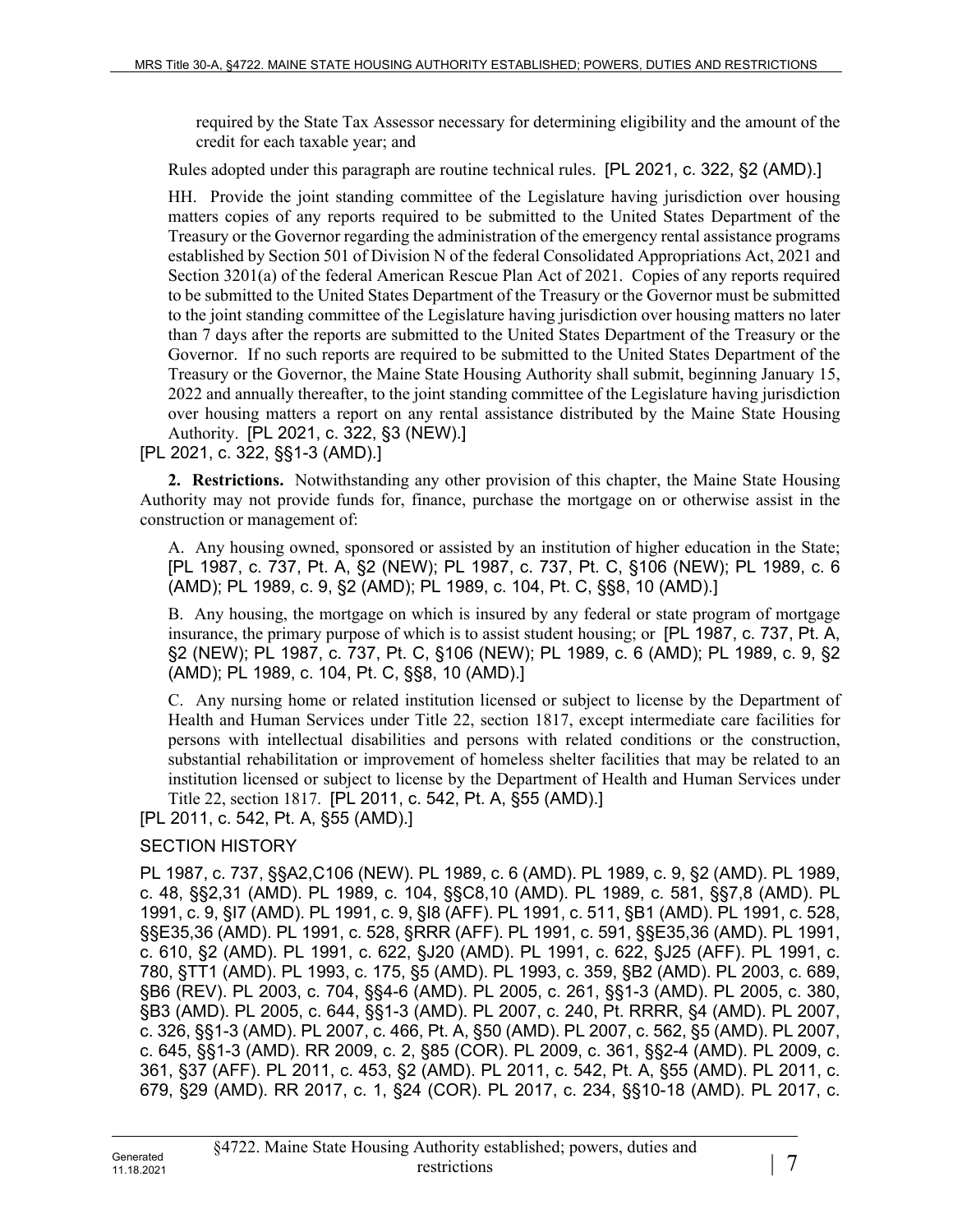required by the State Tax Assessor necessary for determining eligibility and the amount of the credit for each taxable year; and

Rules adopted under this paragraph are routine technical rules. [PL 2021, c. 322, §2 (AMD).]

HH. Provide the joint standing committee of the Legislature having jurisdiction over housing matters copies of any reports required to be submitted to the United States Department of the Treasury or the Governor regarding the administration of the emergency rental assistance programs established by Section 501 of Division N of the federal Consolidated Appropriations Act, 2021 and Section 3201(a) of the federal American Rescue Plan Act of 2021. Copies of any reports required to be submitted to the United States Department of the Treasury or the Governor must be submitted to the joint standing committee of the Legislature having jurisdiction over housing matters no later than 7 days after the reports are submitted to the United States Department of the Treasury or the Governor. If no such reports are required to be submitted to the United States Department of the Treasury or the Governor, the Maine State Housing Authority shall submit, beginning January 15, 2022 and annually thereafter, to the joint standing committee of the Legislature having jurisdiction over housing matters a report on any rental assistance distributed by the Maine State Housing Authority. [PL 2021, c. 322, §3 (NEW).]

[PL 2021, c. 322, §§1-3 (AMD).]

**2. Restrictions.** Notwithstanding any other provision of this chapter, the Maine State Housing Authority may not provide funds for, finance, purchase the mortgage on or otherwise assist in the construction or management of:

A. Any housing owned, sponsored or assisted by an institution of higher education in the State; [PL 1987, c. 737, Pt. A, §2 (NEW); PL 1987, c. 737, Pt. C, §106 (NEW); PL 1989, c. 6 (AMD); PL 1989, c. 9, §2 (AMD); PL 1989, c. 104, Pt. C, §§8, 10 (AMD).]

B. Any housing, the mortgage on which is insured by any federal or state program of mortgage insurance, the primary purpose of which is to assist student housing; or [PL 1987, c. 737, Pt. A, §2 (NEW); PL 1987, c. 737, Pt. C, §106 (NEW); PL 1989, c. 6 (AMD); PL 1989, c. 9, §2 (AMD); PL 1989, c. 104, Pt. C, §§8, 10 (AMD).]

C. Any nursing home or related institution licensed or subject to license by the Department of Health and Human Services under Title 22, section 1817, except intermediate care facilities for persons with intellectual disabilities and persons with related conditions or the construction, substantial rehabilitation or improvement of homeless shelter facilities that may be related to an institution licensed or subject to license by the Department of Health and Human Services under Title 22, section 1817. [PL 2011, c. 542, Pt. A, §55 (AMD).]

[PL 2011, c. 542, Pt. A, §55 (AMD).]

## SECTION HISTORY

PL 1987, c. 737, §§A2,C106 (NEW). PL 1989, c. 6 (AMD). PL 1989, c. 9, §2 (AMD). PL 1989, c. 48, §§2,31 (AMD). PL 1989, c. 104, §§C8,10 (AMD). PL 1989, c. 581, §§7,8 (AMD). PL 1991, c. 9, §I7 (AMD). PL 1991, c. 9, §I8 (AFF). PL 1991, c. 511, §B1 (AMD). PL 1991, c. 528, §§E35,36 (AMD). PL 1991, c. 528, §RRR (AFF). PL 1991, c. 591, §§E35,36 (AMD). PL 1991, c. 610, §2 (AMD). PL 1991, c. 622, §J20 (AMD). PL 1991, c. 622, §J25 (AFF). PL 1991, c. 780, §TT1 (AMD). PL 1993, c. 175, §5 (AMD). PL 1993, c. 359, §B2 (AMD). PL 2003, c. 689, §B6 (REV). PL 2003, c. 704, §§4-6 (AMD). PL 2005, c. 261, §§1-3 (AMD). PL 2005, c. 380, §B3 (AMD). PL 2005, c. 644, §§1-3 (AMD). PL 2007, c. 240, Pt. RRRR, §4 (AMD). PL 2007, c. 326, §§1-3 (AMD). PL 2007, c. 466, Pt. A, §50 (AMD). PL 2007, c. 562, §5 (AMD). PL 2007, c. 645, §§1-3 (AMD). RR 2009, c. 2, §85 (COR). PL 2009, c. 361, §§2-4 (AMD). PL 2009, c. 361, §37 (AFF). PL 2011, c. 453, §2 (AMD). PL 2011, c. 542, Pt. A, §55 (AMD). PL 2011, c. 679, §29 (AMD). RR 2017, c. 1, §24 (COR). PL 2017, c. 234, §§10-18 (AMD). PL 2017, c.